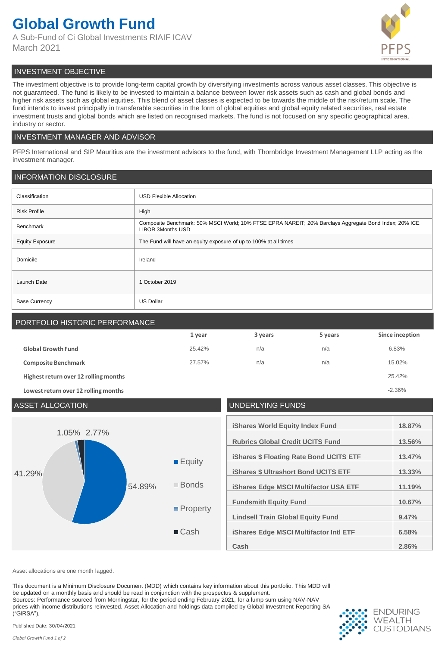# **Global Growth Fund**

A Sub-Fund of Ci Global Investments RIAIF ICAV March 2021



# INVESTMENT OBJECTIVE

The investment objective is to provide long-term capital growth by diversifying investments across various asset classes. This objective is not guaranteed. The fund is likely to be invested to maintain a balance between lower risk assets such as cash and global bonds and higher risk assets such as global equities. This blend of asset classes is expected to be towards the middle of the risk/return scale. The fund intends to invest principally in transferable securities in the form of global equities and global equity related securities, real estate investment trusts and global bonds which are listed on recognised markets. The fund is not focused on any specific geographical area, industry or sector.

## INVESTMENT MANAGER AND ADVISOR

PFPS International and SIP Mauritius are the investment advisors to the fund, with Thornbridge Investment Management LLP acting as the investment manager.

# INFORMATION DISCLOSURE

| Classification         | <b>USD Flexible Allocation</b>                                                                                                    |
|------------------------|-----------------------------------------------------------------------------------------------------------------------------------|
| <b>Risk Profile</b>    | High                                                                                                                              |
| Benchmark              | Composite Benchmark: 50% MSCI World; 10% FTSE EPRA NAREIT; 20% Barclays Aggregate Bond Index; 20% ICE<br><b>LIBOR 3Months USD</b> |
| <b>Equity Exposure</b> | The Fund will have an equity exposure of up to 100% at all times                                                                  |
| Domicile               | Ireland                                                                                                                           |
| Launch Date            | 1 October 2019                                                                                                                    |
| <b>Base Currency</b>   | <b>US Dollar</b>                                                                                                                  |

# PORTFOLIO HISTORIC PERFORMANCE **1 year 3 years 5 years Since inception Global Growth Fund** 25.42% n/a n/a 6.83% **Composite Benchmark** 15.02% **27.57%** n/a n/a n/a n/a 15.02% **Highest return over 12 rolling months** 25.42% **Lowest return over 12 rolling months** -2.36%

| <b>ASSET ALLOCATION</b>         |                                                                                    | UNDERLYING FUNDS                                                                                                                                                                                                                                                                                                                                         |                                                                            |
|---------------------------------|------------------------------------------------------------------------------------|----------------------------------------------------------------------------------------------------------------------------------------------------------------------------------------------------------------------------------------------------------------------------------------------------------------------------------------------------------|----------------------------------------------------------------------------|
| 1.05% 2.77%<br>41.29%<br>54.89% | $\blacksquare$ Equity<br>■ Bonds<br>$\blacksquare$ Property<br>$\blacksquare$ Cash | <b>iShares World Equity Index Fund</b><br><b>Rubrics Global Credit UCITS Fund</b><br><b>iShares \$ Floating Rate Bond UCITS ETF</b><br><b>iShares \$ Ultrashort Bond UCITS ETF</b><br><b>iShares Edge MSCI Multifactor USA ETF</b><br><b>Fundsmith Equity Fund</b><br><b>Lindsell Train Global Equity Fund</b><br>iShares Edge MSCI Multifactor Intl ETF | 18.87%<br>13.56%<br>13.47%<br>13.33%<br>11.19%<br>10.67%<br>9.47%<br>6.58% |
|                                 |                                                                                    | Cash                                                                                                                                                                                                                                                                                                                                                     | 2.86%                                                                      |

Asset allocations are one month lagged.

This document is a Minimum Disclosure Document (MDD) which contains key information about this portfolio. This MDD will be updated on a monthly basis and should be read in conjunction with the prospectus & supplement. Sources: Performance sourced from Morningstar, for the period ending February 2021, for a lump sum using NAV-NAV prices with income distributions reinvested. Asset Allocation and holdings data compiled by Global Investment Reporting SA ("GIRSA").